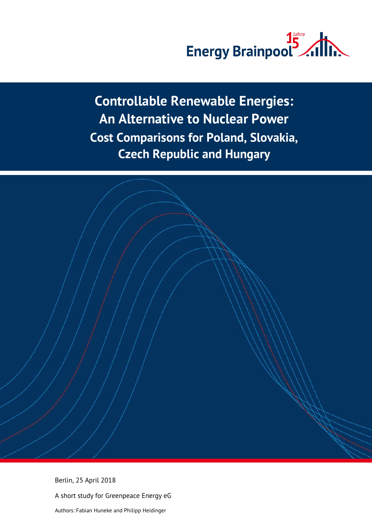

**Controllable Renewable Energies: An Alternative to Nuclear Power Cost Comparisons for Poland, Slovakia, Czech Republic and Hungary**

Berlin, 25 April 2018 A short study for Greenpeace Energy eG Authors: Fabian Huneke and Philipp Heidinger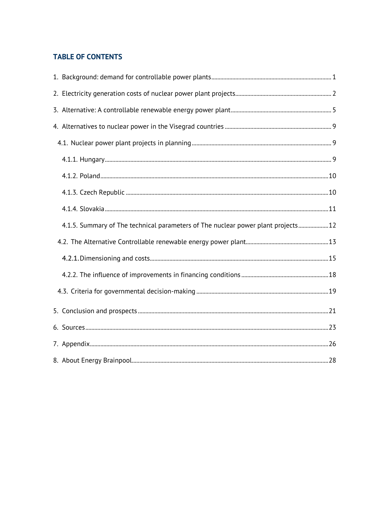# **TABLE OF CONTENTS**

| 4.1.5. Summary of The technical parameters of The nuclear power plant projects12 |  |
|----------------------------------------------------------------------------------|--|
|                                                                                  |  |
|                                                                                  |  |
|                                                                                  |  |
|                                                                                  |  |
|                                                                                  |  |
|                                                                                  |  |
|                                                                                  |  |
|                                                                                  |  |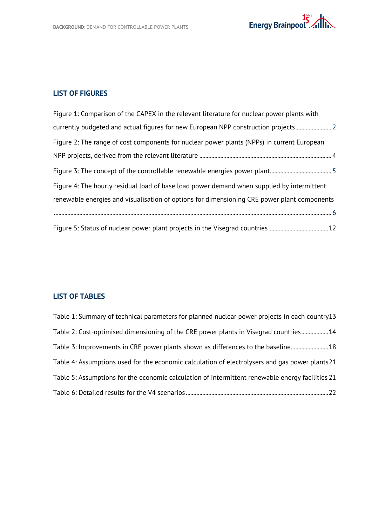

## **LIST OF FIGURES**

| Figure 1: Comparison of the CAPEX in the relevant literature for nuclear power plants with  |
|---------------------------------------------------------------------------------------------|
| currently budgeted and actual figures for new European NPP construction projects            |
| Figure 2: The range of cost components for nuclear power plants (NPPs) in current European  |
|                                                                                             |
|                                                                                             |
| Figure 4: The hourly residual load of base load power demand when supplied by intermittent  |
| renewable energies and visualisation of options for dimensioning CRE power plant components |
|                                                                                             |
|                                                                                             |

# **LIST OF TABLES**

| Table 1: Summary of technical parameters for planned nuclear power projects in each country13    |
|--------------------------------------------------------------------------------------------------|
| Table 2: Cost-optimised dimensioning of the CRE power plants in Visegrad countries 14            |
| Table 3: Improvements in CRE power plants shown as differences to the baseline 18                |
| Table 4: Assumptions used for the economic calculation of electrolysers and gas power plants21   |
| Table 5: Assumptions for the economic calculation of intermittent renewable energy facilities 21 |
|                                                                                                  |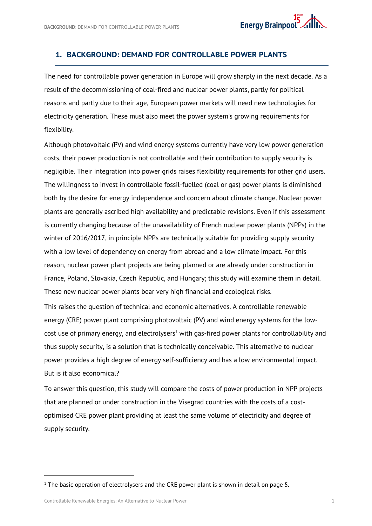## <span id="page-3-0"></span>**1. BACKGROUND: DEMAND FOR CONTROLLABLE POWER PLANTS**

The need for controllable power generation in Europe will grow sharply in the next decade. As a result of the decommissioning of coal-fired and nuclear power plants, partly for political reasons and partly due to their age, European power markets will need new technologies for electricity generation. These must also meet the power system's growing requirements for flexibility.

Although photovoltaic (PV) and wind energy systems currently have very low power generation costs, their power production is not controllable and their contribution to supply security is negligible. Their integration into power grids raises flexibility requirements for other grid users. The willingness to invest in controllable fossil-fuelled (coal or gas) power plants is diminished both by the desire for energy independence and concern about climate change. Nuclear power plants are generally ascribed high availability and predictable revisions. Even if this assessment is currently changing because of the unavailability of French nuclear power plants (NPPs) in the winter of 2016/2017, in principle NPPs are technically suitable for providing supply security with a low level of dependency on energy from abroad and a low climate impact. For this reason, nuclear power plant projects are being planned or are already under construction in France, Poland, Slovakia, Czech Republic, and Hungary; this study will examine them in detail. These new nuclear power plants bear very high financial and ecological risks.

This raises the question of technical and economic alternatives. A controllable renewable energy (CRE) power plant comprising photovoltaic (PV) and wind energy systems for the lowcost use of primary energy, and electrolysers<sup>1</sup> with gas-fired power plants for controllability and thus supply security, is a solution that is technically conceivable. This alternative to nuclear power provides a high degree of energy self-sufficiency and has a low environmental impact. But is it also economical?

To answer this question, this study will compare the costs of power production in NPP projects that are planned or under construction in the Visegrad countries with the costs of a costoptimised CRE power plant providing at least the same volume of electricity and degree of supply security.

 $\overline{a}$ 

 $1$  The basic operation of electrolysers and the CRE power plant is shown in detail on page 5.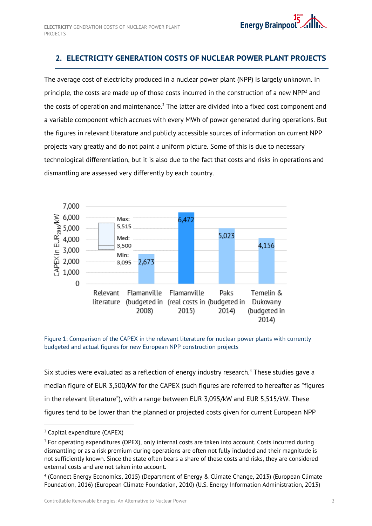# <span id="page-4-0"></span>**2. ELECTRICITY GENERATION COSTS OF NUCLEAR POWER PLANT PROJECTS**

The average cost of electricity produced in a nuclear power plant (NPP) is largely unknown. In principle, the costs are made up of those costs incurred in the construction of a new  $NPP<sup>2</sup>$  and the costs of operation and maintenance. $3$  The latter are divided into a fixed cost component and a variable component which accrues with every MWh of power generated during operations. But the figures in relevant literature and publicly accessible sources of information on current NPP projects vary greatly and do not paint a uniform picture. Some of this is due to necessary technological differentiation, but it is also due to the fact that costs and risks in operations and dismantling are assessed very differently by each country.



<span id="page-4-1"></span>Figure 1: Comparison of the CAPEX in the relevant literature for nuclear power plants with currently budgeted and actual figures for new European NPP construction projects

Six studies were evaluated as a reflection of energy industry research.<sup>4</sup> These studies gave a median figure of EUR 3,500/kW for the CAPEX (such figures are referred to hereafter as "figures in the relevant literature"), with a range between EUR 3,095/kW and EUR 5,515/kW. These figures tend to be lower than the planned or projected costs given for current European NPP

 $\overline{a}$ 

<sup>2</sup> Capital expenditure (CAPEX)

<sup>&</sup>lt;sup>3</sup> For operating expenditures (OPEX), only internal costs are taken into account. Costs incurred during dismantling or as a risk premium during operations are often not fully included and their magnitude is not sufficiently known. Since the state often bears a share of these costs and risks, they are considered external costs and are not taken into account.

<sup>4</sup> (Connect Energy Economics, 2015) (Department of Energy & Climate Change, 2013) (European Climate Foundation, 2016) (European Climate Foundation, 2010) (U.S. Energy Information Administration, 2013)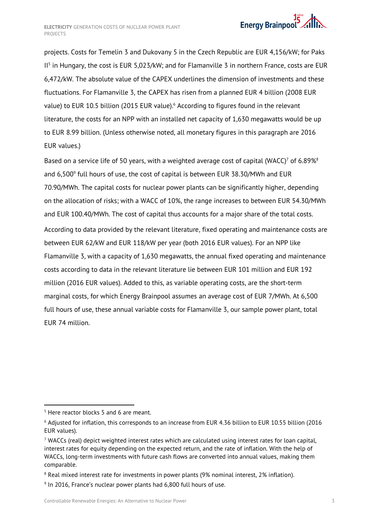

projects. Costs for Temelin 3 and Dukovany 5 in the Czech Republic are EUR 4,156/kW; for Paks II5 in Hungary, the cost is EUR 5,023/kW; and for Flamanville 3 in northern France, costs are EUR 6,472/kW. The absolute value of the CAPEX underlines the dimension of investments and these fluctuations. For Flamanville 3, the CAPEX has risen from a planned EUR 4 billion (2008 EUR value) to EUR 10.5 billion (2015 EUR value).<sup>6</sup> According to figures found in the relevant literature, the costs for an NPP with an installed net capacity of 1,630 megawatts would be up to EUR 8.99 billion. (Unless otherwise noted, all monetary figures in this paragraph are 2016 EUR values.)

Based on a service life of 50 years, with a weighted average cost of capital (WACC)<sup>7</sup> of 6.89%<sup>8</sup> and  $6,500^9$  full hours of use, the cost of capital is between EUR 38.30/MWh and EUR 70.90/MWh. The capital costs for nuclear power plants can be significantly higher, depending on the allocation of risks; with a WACC of 10%, the range increases to between EUR 54.30/MWh and EUR 100.40/MWh. The cost of capital thus accounts for a major share of the total costs. According to data provided by the relevant literature, fixed operating and maintenance costs are between EUR 62/kW and EUR 118/kW per year (both 2016 EUR values). For an NPP like Flamanville 3, with a capacity of 1,630 megawatts, the annual fixed operating and maintenance costs according to data in the relevant literature lie between EUR 101 million and EUR 192 million (2016 EUR values). Added to this, as variable operating costs, are the short-term marginal costs, for which Energy Brainpool assumes an average cost of EUR 7/MWh. At 6,500 full hours of use, these annual variable costs for Flamanville 3, our sample power plant, total EUR 74 million.

1

<sup>&</sup>lt;sup>5</sup> Here reactor blocks 5 and 6 are meant.

<sup>6</sup> Adjusted for inflation, this corresponds to an increase from EUR 4.36 billion to EUR 10.55 billion (2016 EUR values).

 $7$  WACCs (real) depict weighted interest rates which are calculated using interest rates for loan capital, interest rates for equity depending on the expected return, and the rate of inflation. With the help of WACCs, long-term investments with future cash flows are converted into annual values, making them comparable.

<sup>&</sup>lt;sup>8</sup> Real mixed interest rate for investments in power plants (9% nominal interest, 2% inflation).

 $9$  In 2016, France's nuclear power plants had 6,800 full hours of use.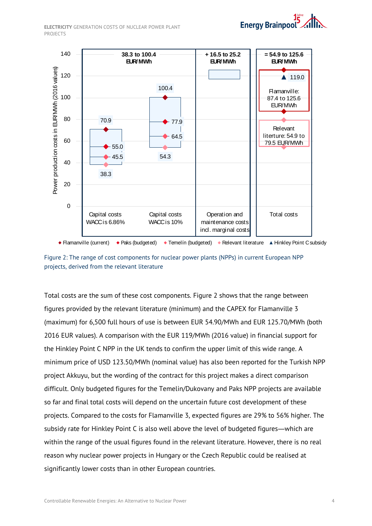**ELECTRICITY** GENERATION COSTS OF NUCLEAR POWER PLANT PROJECTS



<span id="page-6-0"></span>Figure 2: The range of cost components for nuclear power plants (NPPs) in current European NPP projects, derived from the relevant literature

Total costs are the sum of these cost components. Figure 2 shows that the range between figures provided by the relevant literature (minimum) and the CAPEX for Flamanville 3 (maximum) for 6,500 full hours of use is between EUR 54.90/MWh and EUR 125.70/MWh (both 2016 EUR values). A comparison with the EUR 119/MWh (2016 value) in financial support for the Hinkley Point C NPP in the UK tends to confirm the upper limit of this wide range. A minimum price of USD 123.50/MWh (nominal value) has also been reported for the Turkish NPP project Akkuyu, but the wording of the contract for this project makes a direct comparison difficult. Only budgeted figures for the Temelin/Dukovany and Paks NPP projects are available so far and final total costs will depend on the uncertain future cost development of these projects. Compared to the costs for Flamanville 3, expected figures are 29% to 56% higher. The subsidy rate for Hinkley Point C is also well above the level of budgeted figures―which are within the range of the usual figures found in the relevant literature. However, there is no real reason why nuclear power projects in Hungary or the Czech Republic could be realised at significantly lower costs than in other European countries.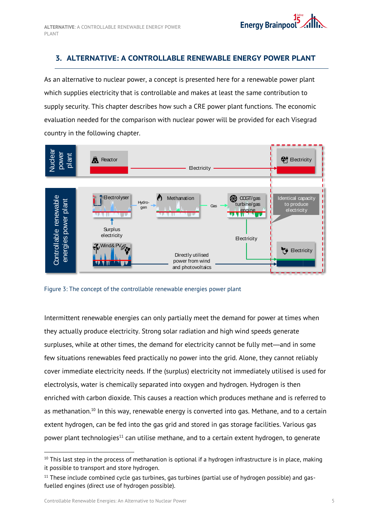# <span id="page-7-0"></span>**3. ALTERNATIVE: A CONTROLLABLE RENEWABLE ENERGY POWER PLANT**

As an alternative to nuclear power, a concept is presented here for a renewable power plant which supplies electricity that is controllable and makes at least the same contribution to supply security. This chapter describes how such a CRE power plant functions. The economic evaluation needed for the comparison with nuclear power will be provided for each Visegrad country in the following chapter.



<span id="page-7-1"></span>

Intermittent renewable energies can only partially meet the demand for power at times when they actually produce electricity. Strong solar radiation and high wind speeds generate surpluses, while at other times, the demand for electricity cannot be fully met—and in some few situations renewables feed practically no power into the grid. Alone, they cannot reliably cover immediate electricity needs. If the (surplus) electricity not immediately utilised is used for electrolysis, water is chemically separated into oxygen and hydrogen. Hydrogen is then enriched with carbon dioxide. This causes a reaction which produces methane and is referred to as methanation.<sup>10</sup> In this way, renewable energy is converted into gas. Methane, and to a certain extent hydrogen, can be fed into the gas grid and stored in gas storage facilities. Various gas power plant technologies<sup>11</sup> can utilise methane, and to a certain extent hydrogen, to generate

-

 $10$  This last step in the process of methanation is optional if a hydrogen infrastructure is in place, making it possible to transport and store hydrogen.

 $11$  These include combined cycle gas turbines, gas turbines (partial use of hydrogen possible) and gasfuelled engines (direct use of hydrogen possible).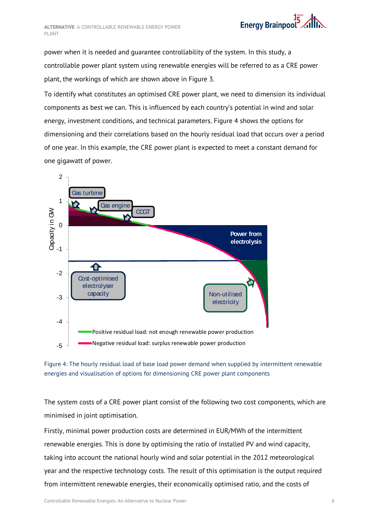**ALTERNATIVE**: A CONTROLLABLE RENEWABLE ENERGY POWER PLANT

power when it is needed and guarantee controllability of the system. In this study, a controllable power plant system using renewable energies will be referred to as a CRE power plant, the workings of which are shown above in [Figure](#page-7-1) 3.

To identify what constitutes an optimised CRE power plant, we need to dimension its individual components as best we can. This is influenced by each country's potential in wind and solar energy, investment conditions, and technical parameters. Figure 4 shows the options for dimensioning and their correlations based on the hourly residual load that occurs over a period of one year. In this example, the CRE power plant is expected to meet a constant demand for one gigawatt of power.



<span id="page-8-0"></span>

The system costs of a CRE power plant consist of the following two cost components, which are minimised in joint optimisation.

Firstly, minimal power production costs are determined in EUR/MWh of the intermittent renewable energies. This is done by optimising the ratio of installed PV and wind capacity, taking into account the national hourly wind and solar potential in the 2012 meteorological year and the respective technology costs. The result of this optimisation is the output required from intermittent renewable energies, their economically optimised ratio, and the costs of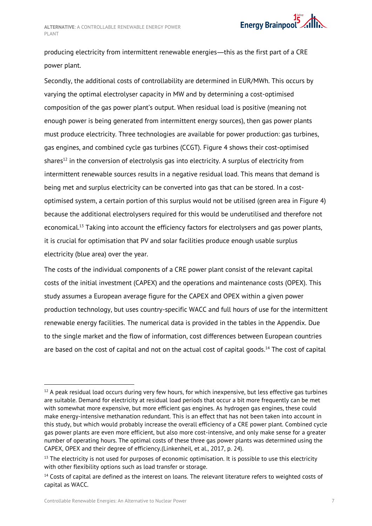

producing electricity from intermittent renewable energies—this as the first part of a CRE power plant.

Secondly, the additional costs of controllability are determined in EUR/MWh. This occurs by varying the optimal electrolyser capacity in MW and by determining a cost-optimised composition of the gas power plant's output. When residual load is positive (meaning not enough power is being generated from intermittent energy sources), then gas power plants must produce electricity. Three technologies are available for power production: gas turbines, gas engines, and combined cycle gas turbines (CCGT). Figure 4 shows their cost-optimised shares<sup>12</sup> in the conversion of electrolysis gas into electricity. A surplus of electricity from intermittent renewable sources results in a negative residual load. This means that demand is being met and surplus electricity can be converted into gas that can be stored. In a costoptimised system, a certain portion of this surplus would not be utilised (green area in Figure 4) because the additional electrolysers required for this would be underutilised and therefore not economical.<sup>13</sup> Taking into account the efficiency factors for electrolysers and gas power plants, it is crucial for optimisation that PV and solar facilities produce enough usable surplus electricity (blue area) over the year.

The costs of the individual components of a CRE power plant consist of the relevant capital costs of the initial investment (CAPEX) and the operations and maintenance costs (OPEX). This study assumes a European average figure for the CAPEX and OPEX within a given power production technology, but uses country-specific WACC and full hours of use for the intermittent renewable energy facilities. The numerical data is provided in the tables in the Appendix. Due to the single market and the flow of information, cost differences between European countries are based on the cost of capital and not on the actual cost of capital goods. <sup>14</sup> The cost of capital

-

 $12$  A peak residual load occurs during very few hours, for which inexpensive, but less effective gas turbines are suitable. Demand for electricity at residual load periods that occur a bit more frequently can be met with somewhat more expensive, but more efficient gas engines. As hydrogen gas engines, these could make energy-intensive methanation redundant. This is an effect that has not been taken into account in this study, but which would probably increase the overall efficiency of a CRE power plant. Combined cycle gas power plants are even more efficient, but also more cost-intensive, and only make sense for a greater number of operating hours. The optimal costs of these three gas power plants was determined using the CAPEX, OPEX and their degree of efficiency.(Linkenheil, et al., 2017, p. 24).

 $13$  The electricity is not used for purposes of economic optimisation. It is possible to use this electricity with other flexibility options such as load transfer or storage.

<sup>&</sup>lt;sup>14</sup> Costs of capital are defined as the interest on loans. The relevant literature refers to weighted costs of capital as WACC.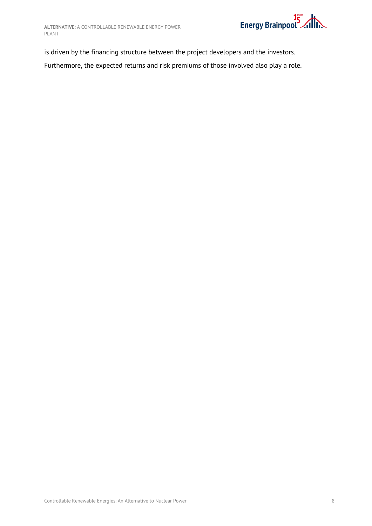

is driven by the financing structure between the project developers and the investors. Furthermore, the expected returns and risk premiums of those involved also play a role.

Controllable Renewable Energies: An Alternative to Nuclear Power 8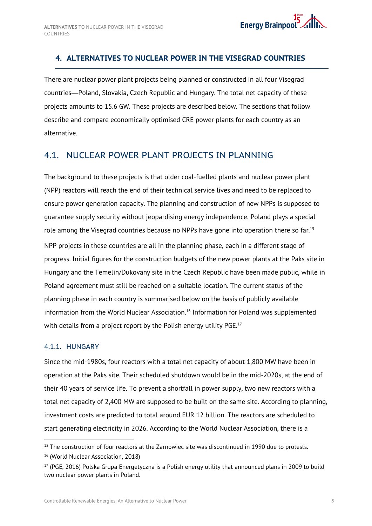# <span id="page-11-0"></span>**4. ALTERNATIVES TO NUCLEAR POWER IN THE VISEGRAD COUNTRIES**

There are nuclear power plant projects being planned or constructed in all four Visegrad countries—Poland, Slovakia, Czech Republic and Hungary. The total net capacity of these projects amounts to 15.6 GW. These projects are described below. The sections that follow describe and compare economically optimised CRE power plants for each country as an alternative.

# <span id="page-11-1"></span>4.1. NUCLEAR POWER PLANT PROJECTS IN PLANNING

The background to these projects is that older coal-fuelled plants and nuclear power plant (NPP) reactors will reach the end of their technical service lives and need to be replaced to ensure power generation capacity. The planning and construction of new NPPs is supposed to guarantee supply security without jeopardising energy independence. Poland plays a special role among the Visegrad countries because no NPPs have gone into operation there so far.<sup>15</sup> NPP projects in these countries are all in the planning phase, each in a different stage of progress. Initial figures for the construction budgets of the new power plants at the Paks site in Hungary and the Temelin/Dukovany site in the Czech Republic have been made public, while in Poland agreement must still be reached on a suitable location. The current status of the planning phase in each country is summarised below on the basis of publicly available information from the World Nuclear Association.<sup>16</sup> Information for Poland was supplemented with details from a project report by the Polish energy utility PGE.<sup>17</sup>

## <span id="page-11-2"></span>4.1.1. HUNGARY

 $\overline{a}$ 

Since the mid-1980s, four reactors with a total net capacity of about 1,800 MW have been in operation at the Paks site. Their scheduled shutdown would be in the mid-2020s, at the end of their 40 years of service life. To prevent a shortfall in power supply, two new reactors with a total net capacity of 2,400 MW are supposed to be built on the same site. According to planning, investment costs are predicted to total around EUR 12 billion. The reactors are scheduled to start generating electricity in 2026. According to the World Nuclear Association, there is a

<sup>&</sup>lt;sup>15</sup> The construction of four reactors at the Zarnowiec site was discontinued in 1990 due to protests.

<sup>&</sup>lt;sup>16</sup> (World Nuclear Association, 2018)

<sup>&</sup>lt;sup>17</sup> (PGE, 2016) Polska Grupa Energetyczna is a Polish energy utility that announced plans in 2009 to build two nuclear power plants in Poland.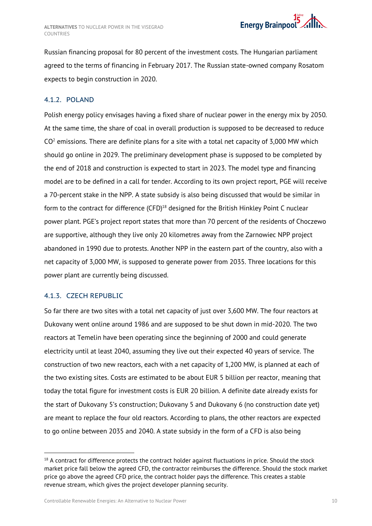Russian financing proposal for 80 percent of the investment costs. The Hungarian parliament agreed to the terms of financing in February 2017. The Russian state-owned company Rosatom expects to begin construction in 2020.

## <span id="page-12-0"></span>4.1.2. POLAND

Polish energy policy envisages having a fixed share of nuclear power in the energy mix by 2050. At the same time, the share of coal in overall production is supposed to be decreased to reduce  $CO<sup>2</sup>$  emissions. There are definite plans for a site with a total net capacity of 3,000 MW which should go online in 2029. The preliminary development phase is supposed to be completed by the end of 2018 and construction is expected to start in 2023. The model type and financing model are to be defined in a call for tender. According to its own project report, PGE will receive a 70-percent stake in the NPP. A state subsidy is also being discussed that would be similar in form to the contract for difference (CFD) $^{18}$  designed for the British Hinkley Point C nuclear power plant. PGE's project report states that more than 70 percent of the residents of Choczewo are supportive, although they live only 20 kilometres away from the Zarnowiec NPP project abandoned in 1990 due to protests. Another NPP in the eastern part of the country, also with a net capacity of 3,000 MW, is supposed to generate power from 2035. Three locations for this power plant are currently being discussed.

## <span id="page-12-1"></span>4.1.3. CZECH REPUBLIC

-

So far there are two sites with a total net capacity of just over 3,600 MW. The four reactors at Dukovany went online around 1986 and are supposed to be shut down in mid-2020. The two reactors at Temelin have been operating since the beginning of 2000 and could generate electricity until at least 2040, assuming they live out their expected 40 years of service. The construction of two new reactors, each with a net capacity of 1,200 MW, is planned at each of the two existing sites. Costs are estimated to be about EUR 5 billion per reactor, meaning that today the total figure for investment costs is EUR 20 billion. A definite date already exists for the start of Dukovany 5's construction; Dukovany 5 and Dukovany 6 (no construction date yet) are meant to replace the four old reactors. According to plans, the other reactors are expected to go online between 2035 and 2040. A state subsidy in the form of a CFD is also being

 $18$  A contract for difference protects the contract holder against fluctuations in price. Should the stock market price fall below the agreed CFD, the contractor reimburses the difference. Should the stock market price go above the agreed CFD price, the contract holder pays the difference. This creates a stable revenue stream, which gives the project developer planning security.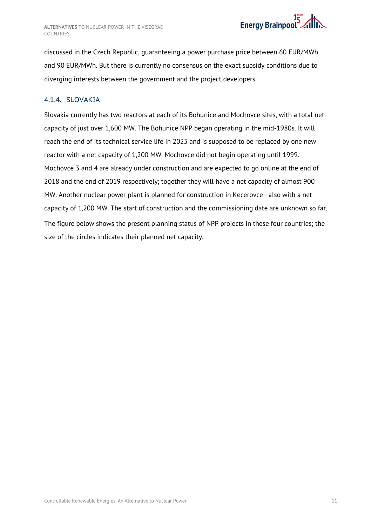

discussed in the Czech Republic, guaranteeing a power purchase price between 60 EUR/MWh and 90 EUR/MWh. But there is currently no consensus on the exact subsidy conditions due to diverging interests between the government and the project developers.

## <span id="page-13-0"></span>4.1.4. SLOVAKIA

Slovakia currently has two reactors at each of its Bohunice and Mochovce sites, with a total net capacity of just over 1,600 MW. The Bohunice NPP began operating in the mid-1980s. It will reach the end of its technical service life in 2025 and is supposed to be replaced by one new reactor with a net capacity of 1,200 MW. Mochovce did not begin operating until 1999. Mochovce 3 and 4 are already under construction and are expected to go online at the end of 2018 and the end of 2019 respectively; together they will have a net capacity of almost 900 MW. Another nuclear power plant is planned for construction in Kecerovce—also with a net capacity of 1,200 MW. The start of construction and the commissioning date are unknown so far. The figure below shows the present planning status of NPP projects in these four countries; the size of the circles indicates their planned net capacity.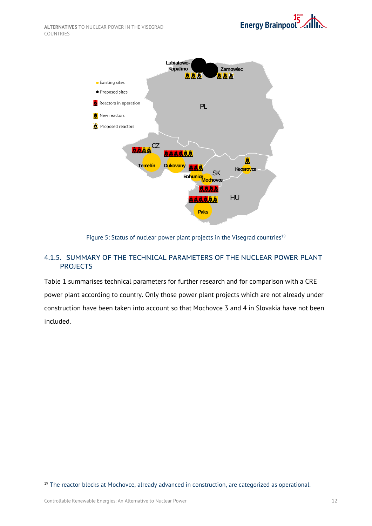

Figure 5: Status of nuclear power plant projects in the Visegrad countries<sup>19</sup>

## <span id="page-14-1"></span><span id="page-14-0"></span>4.1.5. SUMMARY OF THE TECHNICAL PARAMETERS OF THE NUCLEAR POWER PLANT PROJECTS

Table 1 summarises technical parameters for further research and for comparison with a CRE power plant according to country. Only those power plant projects which are not already under construction have been taken into account so that Mochovce 3 and 4 in Slovakia have not been included.

 $\overline{a}$ 

<sup>&</sup>lt;sup>19</sup> The reactor blocks at Mochovce, already advanced in construction, are categorized as operational.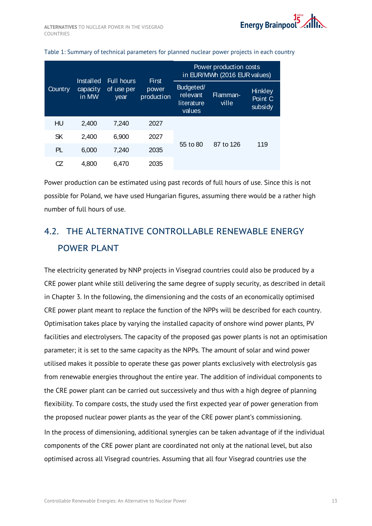|         | Installed         | <b>Full hours</b><br>of use per<br>year | <b>First</b>        | Power production costs<br>in EUR/MWh (2016 EUR values) |                   |                               |  |  |
|---------|-------------------|-----------------------------------------|---------------------|--------------------------------------------------------|-------------------|-------------------------------|--|--|
| Country | capacity<br>in MW |                                         | power<br>production | Budgeted/<br>relevant<br>literature<br>values          | Flamman-<br>ville | Hinkley<br>Point C<br>subsidy |  |  |
| HU      | 2,400             | 7,240                                   | 2027                |                                                        | 87 to 126         |                               |  |  |
| SK      | 2,400             | 6,900                                   | 2027                | 55 to 80                                               |                   |                               |  |  |
| PL      | 6,000             | 7,240                                   | 2035                |                                                        |                   | 119                           |  |  |
| CZ      | 4.800             | 6.470                                   | 2035                |                                                        |                   |                               |  |  |

#### <span id="page-15-1"></span>Table 1: Summary of technical parameters for planned nuclear power projects in each country

Power production can be estimated using past records of full hours of use. Since this is not possible for Poland, we have used Hungarian figures, assuming there would be a rather high number of full hours of use.

# <span id="page-15-0"></span>4.2. THE ALTERNATIVE CONTROLLABLE RENEWABLE ENFRGY POWER PLANT

The electricity generated by NNP projects in Visegrad countries could also be produced by a CRE power plant while still delivering the same degree of supply security, as described in detail in Chapter 3. In the following, the dimensioning and the costs of an economically optimised CRE power plant meant to replace the function of the NPPs will be described for each country. Optimisation takes place by varying the installed capacity of onshore wind power plants, PV facilities and electrolysers. The capacity of the proposed gas power plants is not an optimisation parameter; it is set to the same capacity as the NPPs. The amount of solar and wind power utilised makes it possible to operate these gas power plants exclusively with electrolysis gas from renewable energies throughout the entire year. The addition of individual components to the CRE power plant can be carried out successively and thus with a high degree of planning flexibility. To compare costs, the study used the first expected year of power generation from the proposed nuclear power plants as the year of the CRE power plant's commissioning. In the process of dimensioning, additional synergies can be taken advantage of if the individual components of the CRE power plant are coordinated not only at the national level, but also optimised across all Visegrad countries. Assuming that all four Visegrad countries use the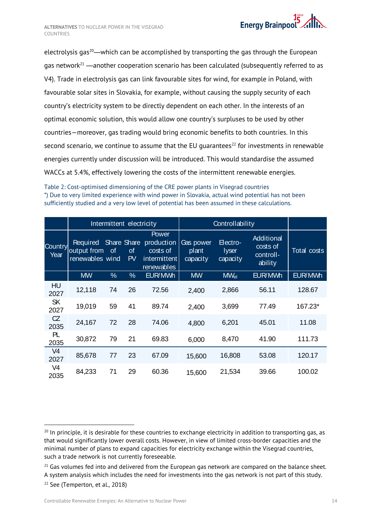

electrolysis gas<sup>20</sup>—which can be accomplished by transporting the gas through the European gas network<sup>21</sup> —another cooperation scenario has been calculated (subsequently referred to as V4). Trade in electrolysis gas can link favourable sites for wind, for example in Poland, with favourable solar sites in Slovakia, for example, without causing the supply security of each country's electricity system to be directly dependent on each other. In the interests of an optimal economic solution, this would allow one country's surpluses to be used by other countries—moreover, gas trading would bring economic benefits to both countries. In this second scenario, we continue to assume that the EU quarantees<sup>22</sup> for investments in renewable energies currently under discussion will be introduced. This would standardise the assumed WACCs at 5.4%, effectively lowering the costs of the intermittent renewable energies.

<span id="page-16-0"></span>

| Table 2: Cost-optimised dimensioning of the CRE power plants in Visegrad countries                |
|---------------------------------------------------------------------------------------------------|
| *) Due to very limited experience with wind power in Slovakia, actual wind potential has not been |
| sufficiently studied and a very low level of potential has been assumed in these calculations.    |

|                                                                                                                                                                                                                                                                                                                                                                                                  |                                             | Intermittent electricity |                 |                                                               | Controllability                |                                      |                                                |             |  |  |  |
|--------------------------------------------------------------------------------------------------------------------------------------------------------------------------------------------------------------------------------------------------------------------------------------------------------------------------------------------------------------------------------------------------|---------------------------------------------|--------------------------|-----------------|---------------------------------------------------------------|--------------------------------|--------------------------------------|------------------------------------------------|-------------|--|--|--|
| Country<br>Year                                                                                                                                                                                                                                                                                                                                                                                  | Required<br>output from<br>renewables wind  | Share Share<br>of        | of<br><b>PV</b> | Power<br>production<br>costs of<br>intermittent<br>renewables | Gas power<br>plant<br>capacity | Electro-<br><b>lyser</b><br>capacity | Additional<br>costs of<br>controll-<br>ability | Total costs |  |  |  |
|                                                                                                                                                                                                                                                                                                                                                                                                  | <b>MW</b>                                   | $\%$                     | $\%$            | EUR/MWh                                                       | <b>MW</b>                      | <b>MW<sub>el</sub></b>               | EUR/MWh                                        | EUR/MWh     |  |  |  |
| <b>HU</b><br>2027                                                                                                                                                                                                                                                                                                                                                                                | 12,118                                      | 74                       | 26              | 72.56                                                         | 2,400                          | 2,866                                | 56.11                                          | 128.67      |  |  |  |
| <b>SK</b><br>2027                                                                                                                                                                                                                                                                                                                                                                                | 19,019                                      | 59                       | 41              | 89.74                                                         | 2,400                          | 3,699                                | 77.49                                          | 167.23*     |  |  |  |
| CZ<br>2035                                                                                                                                                                                                                                                                                                                                                                                       | 24,167                                      | 72                       | 28              | 74.06                                                         | 4,800                          | 6,201                                | 45.01                                          | 11.08       |  |  |  |
| PL<br>2035                                                                                                                                                                                                                                                                                                                                                                                       | 30,872                                      | 79                       | 21              | 69.83                                                         | 6,000                          | 8,470                                | 41.90                                          | 111.73      |  |  |  |
| V <sub>4</sub><br>2027                                                                                                                                                                                                                                                                                                                                                                           | 85,678                                      | 77                       | 23              | 67.09                                                         | 15,600                         | 16,808                               | 53.08                                          | 120.17      |  |  |  |
| V <sub>4</sub><br>2035                                                                                                                                                                                                                                                                                                                                                                           | 84,233                                      | 71                       | 29              | 60.36                                                         | 15,600                         | 21,534                               | 39.66                                          | 100.02      |  |  |  |
|                                                                                                                                                                                                                                                                                                                                                                                                  |                                             |                          |                 |                                                               |                                |                                      |                                                |             |  |  |  |
| $^{20}$ In principle, it is desirable for these countries to exchange electricity in addition to transporting gas, as<br>that would significantly lower overall costs. However, in view of limited cross-border capacities and the<br>minimal number of plans to expand capacities for electricity exchange within the Visegrad countries,<br>such a trade network is not currently foreseeable. |                                             |                          |                 |                                                               |                                |                                      |                                                |             |  |  |  |
| $21$ Gas volumes fed into and delivered from the European gas network are compared on the balance sheet.<br>A system analysis which includes the need for investments into the gas network is not part of this study.                                                                                                                                                                            |                                             |                          |                 |                                                               |                                |                                      |                                                |             |  |  |  |
|                                                                                                                                                                                                                                                                                                                                                                                                  | <sup>22</sup> See (Temperton, et al., 2018) |                          |                 |                                                               |                                |                                      |                                                |             |  |  |  |

<sup>&</sup>lt;sup>20</sup> In principle, it is desirable for these countries to exchange electricity in addition to transporting gas, as that would significantly lower overall costs. However, in view of limited cross-border capacities and the minimal number of plans to expand capacities for electricity exchange within the Visegrad countries, such a trade network is not currently foreseeable.

 $21$  Gas volumes fed into and delivered from the European gas network are compared on the balance sheet. A system analysis which includes the need for investments into the gas network is not part of this study.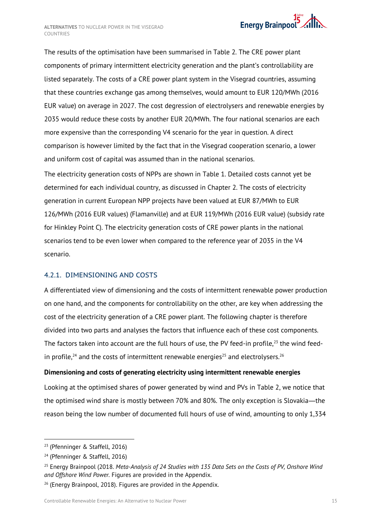

The results of the optimisation have been summarised in [Table](#page-16-0) 2. The CRE power plant components of primary intermittent electricity generation and the plant's controllability are listed separately. The costs of a CRE power plant system in the Visegrad countries, assuming that these countries exchange gas among themselves, would amount to EUR 120/MWh (2016 EUR value) on average in 2027. The cost degression of electrolysers and renewable energies by 2035 would reduce these costs by another EUR 20/MWh. The four national scenarios are each more expensive than the corresponding V4 scenario for the year in question. A direct comparison is however limited by the fact that in the Visegrad cooperation scenario, a lower and uniform cost of capital was assumed than in the national scenarios.

The electricity generation costs of NPPs are shown in [Table](#page-15-1) 1. Detailed costs cannot yet be determined for each individual country, as discussed in Chapter [2.](#page-4-0) The costs of electricity generation in current European NPP projects have been valued at EUR 87/MWh to EUR 126/MWh (2016 EUR values) (Flamanville) and at EUR 119/MWh (2016 EUR value) (subsidy rate for Hinkley Point C). The electricity generation costs of CRE power plants in the national scenarios tend to be even lower when compared to the reference year of 2035 in the V4 scenario.

## <span id="page-17-0"></span>4.2.1. DIMENSIONING AND COSTS

A differentiated view of dimensioning and the costs of intermittent renewable power production on one hand, and the components for controllability on the other, are key when addressing the cost of the electricity generation of a CRE power plant. The following chapter is therefore divided into two parts and analyses the factors that influence each of these cost components. The factors taken into account are the full hours of use, the PV feed-in profile,<sup>23</sup> the wind feedin profile, $^{24}$  and the costs of intermittent renewable energies $^{25}$  and electrolysers. $^{26}$ 

### **Dimensioning and costs of generating electricity using intermittent renewable energies**

Looking at the optimised shares of power generated by wind and PVs in [Table](#page-16-0) 2, we notice that the optimised wind share is mostly between 70% and 80%. The only exception is Slovakia―the reason being the low number of documented full hours of use of wind, amounting to only 1,334

 $\overline{a}$ 

<sup>23</sup> (Pfenninger & Staffell, 2016)

<sup>24</sup> (Pfenninger & Staffell, 2016)

<sup>25</sup> Energy Brainpool (2018. *Meta-Analysis of 24 Studies with 135 Data Sets on the Costs of PV, Onshore Wind and Offshore Wind Power.* Figures are provided in the Appendix.

 $26$  (Energy Brainpool, 2018). Figures are provided in the Appendix.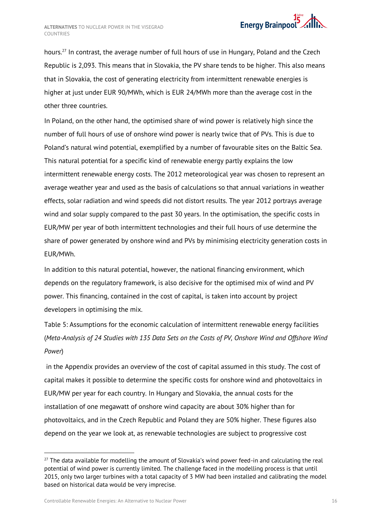

hours.<sup>27</sup> In contrast, the average number of full hours of use in Hungary, Poland and the Czech Republic is 2,093. This means that in Slovakia, the PV share tends to be higher. This also means that in Slovakia, the cost of generating electricity from intermittent renewable energies is higher at just under EUR 90/MWh, which is EUR 24/MWh more than the average cost in the other three countries.

In Poland, on the other hand, the optimised share of wind power is relatively high since the number of full hours of use of onshore wind power is nearly twice that of PVs. This is due to Poland's natural wind potential, exemplified by a number of favourable sites on the Baltic Sea. This natural potential for a specific kind of renewable energy partly explains the low intermittent renewable energy costs. The 2012 meteorological year was chosen to represent an average weather year and used as the basis of calculations so that annual variations in weather effects, solar radiation and wind speeds did not distort results. The year 2012 portrays average wind and solar supply compared to the past 30 years. In the optimisation, the specific costs in EUR/MW per year of both intermittent technologies and their full hours of use determine the share of power generated by onshore wind and PVs by minimising electricity generation costs in EUR/MWh.

In addition to this natural potential, however, the national financing environment, which depends on the regulatory framework, is also decisive for the optimised mix of wind and PV power. This financing, contained in the cost of capital, is taken into account by project developers in optimising the mix.

[Table 5: Assumptions for the economic calculation of intermittent renewable energy facilities](#page-29-2)  (*[Meta-Analysis of 24 Studies with 135 Data Sets on the Costs of PV, Onshore Wind and Offshore Wind](#page-29-2)  [Power](#page-29-2)*)

in the Appendix provides an overview of the cost of capital assumed in this study. The cost of capital makes it possible to determine the specific costs for onshore wind and photovoltaics in EUR/MW per year for each country. In Hungary and Slovakia, the annual costs for the installation of one megawatt of onshore wind capacity are about 30% higher than for photovoltaics, and in the Czech Republic and Poland they are 50% higher. These figures also depend on the year we look at, as renewable technologies are subject to progressive cost

-

 $27$  The data available for modelling the amount of Slovakia's wind power feed-in and calculating the real potential of wind power is currently limited. The challenge faced in the modelling process is that until 2015, only two larger turbines with a total capacity of 3 MW had been installed and calibrating the model based on historical data would be very imprecise.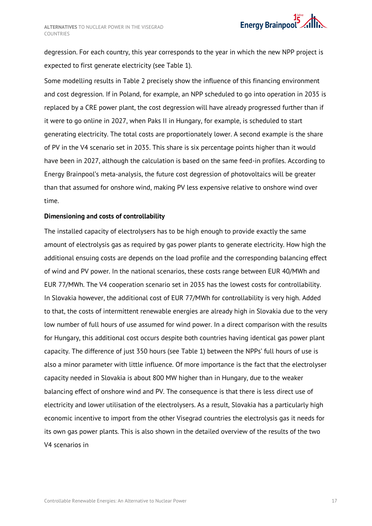degression. For each country, this year corresponds to the year in which the new NPP project is expected to first generate electricity (see [Table](#page-15-1) 1).

Some modelling results in [Table](#page-16-0) 2 precisely show the influence of this financing environment and cost degression. If in Poland, for example, an NPP scheduled to go into operation in 2035 is replaced by a CRE power plant, the cost degression will have already progressed further than if it were to go online in 2027, when Paks II in Hungary, for example, is scheduled to start generating electricity. The total costs are proportionately lower. A second example is the share of PV in the V4 scenario set in 2035. This share is six percentage points higher than it would have been in 2027, although the calculation is based on the same feed-in profiles. According to Energy Brainpool's meta-analysis, the future cost degression of photovoltaics will be greater than that assumed for onshore wind, making PV less expensive relative to onshore wind over time.

### **Dimensioning and costs of controllability**

The installed capacity of electrolysers has to be high enough to provide exactly the same amount of electrolysis gas as required by gas power plants to generate electricity. How high the additional ensuing costs are depends on the load profile and the corresponding balancing effect of wind and PV power. In the national scenarios, these costs range between EUR 40/MWh and EUR 77/MWh. The V4 cooperation scenario set in 2035 has the lowest costs for controllability. In Slovakia however, the additional cost of EUR 77/MWh for controllability is very high. Added to that, the costs of intermittent renewable energies are already high in Slovakia due to the very low number of full hours of use assumed for wind power. In a direct comparison with the results for Hungary, this additional cost occurs despite both countries having identical gas power plant capacity. The difference of just 350 hours (see [Table](#page-15-1) 1) between the NPPs' full hours of use is also a minor parameter with little influence. Of more importance is the fact that the electrolyser capacity needed in Slovakia is about 800 MW higher than in Hungary, due to the weaker balancing effect of onshore wind and PV. The consequence is that there is less direct use of electricity and lower utilisation of the electrolysers. As a result, Slovakia has a particularly high economic incentive to import from the other Visegrad countries the electrolysis gas it needs for its own gas power plants. This is also shown in the detailed overview of the results of the two V4 scenarios in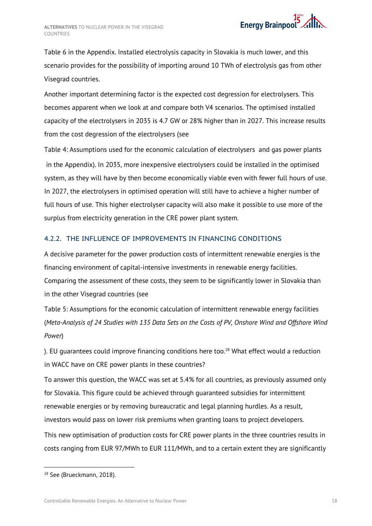[Table](#page-30-0) 6 in the Appendix. Installed electrolysis capacity in Slovakia is much lower, and this scenario provides for the possibility of importing around 10 TWh of electrolysis gas from other Visegrad countries.

Another important determining factor is the expected cost degression for electrolysers. This becomes apparent when we look at and compare both V4 scenarios. The optimised installed capacity of the electrolysers in 2035 is 4.7 GW or 28% higher than in 2027. This increase results from the cost degression of the electrolysers (see

Table [4: Assumptions used for the economic calculation of electrolysers](#page-29-1) and gas power plants in the Appendix). In 2035, more inexpensive electrolysers could be installed in the optimised system, as they will have by then become economically viable even with fewer full hours of use. In 2027, the electrolysers in optimised operation will still have to achieve a higher number of full hours of use. This higher electrolyser capacity will also make it possible to use more of the surplus from electricity generation in the CRE power plant system.

## <span id="page-20-0"></span>4.2.2. THE INFLUENCE OF IMPROVEMENTS IN FINANCING CONDITIONS

A decisive parameter for the power production costs of intermittent renewable energies is the financing environment of capital-intensive investments in renewable energy facilities. Comparing the assessment of these costs, they seem to be significantly lower in Slovakia than in the other Visegrad countries (see

[Table 5: Assumptions for the economic calculation of intermittent renewable energy facilities](#page-29-2)  (*[Meta-Analysis of 24 Studies with 135 Data Sets on the Costs of PV, Onshore Wind and Offshore Wind](#page-29-2)  [Power](#page-29-2)*)

). EU quarantees could improve financing conditions here too. $^{28}$  What effect would a reduction in WACC have on CRE power plants in these countries?

To answer this question, the WACC was set at 5.4% for all countries, as previously assumed only for Slovakia. This figure could be achieved through guaranteed subsidies for intermittent renewable energies or by removing bureaucratic and legal planning hurdles. As a result, investors would pass on lower risk premiums when granting loans to project developers.

This new optimisation of production costs for CRE power plants in the three countries results in costs ranging from EUR 97/MWh to EUR 111/MWh, and to a certain extent they are significantly

-

<sup>&</sup>lt;sup>28</sup> See (Brueckmann, 2018).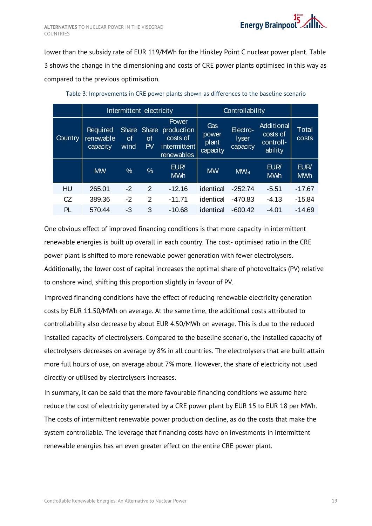lower than the subsidy rate of EUR 119/MWh for the Hinkley Point C nuclear power plant. [Table](#page-21-0)  [3](#page-21-0) shows the change in the dimensioning and costs of CRE power plants optimised in this way as compared to the previous optimisation.

<span id="page-21-0"></span>

|         |                                                                | Intermittent electricity |               |                                                               | Controllability                   |                                      |                                                |                          |
|---------|----------------------------------------------------------------|--------------------------|---------------|---------------------------------------------------------------|-----------------------------------|--------------------------------------|------------------------------------------------|--------------------------|
| Country | Share Share<br>Required<br>renewable<br>Οf<br>capacity<br>wind |                          | 0f<br>PV      | Power<br>production<br>costs of<br>intermittent<br>renewables | Gas<br>power<br>plant<br>capacity | Electro-<br><b>lyser</b><br>capacity | Additional<br>costs of<br>controll-<br>ability | Total<br>costs           |
|         | <b>MW</b>                                                      | $\%$                     | $\%$          | EUR/<br><b>MWh</b>                                            | <b>MW</b>                         | <b>MWel</b>                          | EUR/<br><b>MWh</b>                             | <b>EUR</b><br><b>MWh</b> |
| HU      | 265.01                                                         | $-2$                     | $\mathcal{P}$ | $-12.16$                                                      | identical                         | $-252.74$                            | $-5.51$                                        | -17.67                   |
| CZ      | 389.36                                                         | $-2$                     | $\mathcal{P}$ | $-11.71$                                                      | identical                         | $-470.83$                            | $-4.13$                                        | -15.84                   |
| PL      | 570.44                                                         | -3                       | 3             | -10.68                                                        | identical                         | $-600.42$                            | -4.01                                          | -14.69                   |

Table 3: Improvements in CRE power plants shown as differences to the baseline scenario

One obvious effect of improved financing conditions is that more capacity in intermittent renewable energies is built up overall in each country. The cost- optimised ratio in the CRE power plant is shifted to more renewable power generation with fewer electrolysers. Additionally, the lower cost of capital increases the optimal share of photovoltaics (PV) relative to onshore wind, shifting this proportion slightly in favour of PV.

Improved financing conditions have the effect of reducing renewable electricity generation costs by EUR 11.50/MWh on average. At the same time, the additional costs attributed to controllability also decrease by about EUR 4.50/MWh on average. This is due to the reduced installed capacity of electrolysers. Compared to the baseline scenario, the installed capacity of electrolysers decreases on average by 8% in all countries. The electrolysers that are built attain more full hours of use, on average about 7% more. However, the share of electricity not used directly or utilised by electrolysers increases.

In summary, it can be said that the more favourable financing conditions we assume here reduce the cost of electricity generated by a CRE power plant by EUR 15 to EUR 18 per MWh. The costs of intermittent renewable power production decline, as do the costs that make the system controllable. The leverage that financing costs have on investments in intermittent renewable energies has an even greater effect on the entire CRE power plant.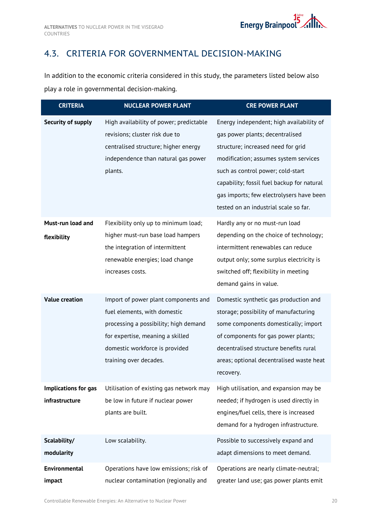# <span id="page-22-0"></span>4.3. CRITERIA FOR GOVERNMENTAL DECISION-MAKING

In addition to the economic criteria considered in this study, the parameters listed below also play a role in governmental decision-making.

| <b>CRITERIA</b>                        | <b>NUCLEAR POWER PLANT</b>                                                                                                                                                                                    | <b>CRE POWER PLANT</b>                                                                                                                                                                                                                                                                                                             |
|----------------------------------------|---------------------------------------------------------------------------------------------------------------------------------------------------------------------------------------------------------------|------------------------------------------------------------------------------------------------------------------------------------------------------------------------------------------------------------------------------------------------------------------------------------------------------------------------------------|
| Security of supply                     | High availability of power; predictable<br>revisions; cluster risk due to<br>centralised structure; higher energy<br>independence than natural gas power<br>plants.                                           | Energy independent; high availability of<br>gas power plants; decentralised<br>structure; increased need for grid<br>modification; assumes system services<br>such as control power; cold-start<br>capability; fossil fuel backup for natural<br>gas imports; few electrolysers have been<br>tested on an industrial scale so far. |
| Must-run load and<br>flexibility       | Flexibility only up to minimum load;<br>higher must-run base load hampers<br>the integration of intermittent<br>renewable energies; load change<br>increases costs.                                           | Hardly any or no must-run load<br>depending on the choice of technology;<br>intermittent renewables can reduce<br>output only; some surplus electricity is<br>switched off; flexibility in meeting<br>demand gains in value.                                                                                                       |
| <b>Value creation</b>                  | Import of power plant components and<br>fuel elements, with domestic<br>processing a possibility; high demand<br>for expertise, meaning a skilled<br>domestic workforce is provided<br>training over decades. | Domestic synthetic gas production and<br>storage; possibility of manufacturing<br>some components domestically; import<br>of components for gas power plants;<br>decentralised structure benefits rural<br>areas; optional decentralised waste heat<br>recovery.                                                                   |
| Implications for gas<br>infrastructure | Utilisation of existing gas network may<br>be low in future if nuclear power<br>plants are built.                                                                                                             | High utilisation, and expansion may be<br>needed; if hydrogen is used directly in<br>engines/fuel cells, there is increased<br>demand for a hydrogen infrastructure.                                                                                                                                                               |
| Scalability/<br>modularity             | Low scalability.                                                                                                                                                                                              | Possible to successively expand and<br>adapt dimensions to meet demand.                                                                                                                                                                                                                                                            |
| <b>Environmental</b><br>impact         | Operations have low emissions; risk of<br>nuclear contamination (regionally and                                                                                                                               | Operations are nearly climate-neutral;<br>greater land use; gas power plants emit                                                                                                                                                                                                                                                  |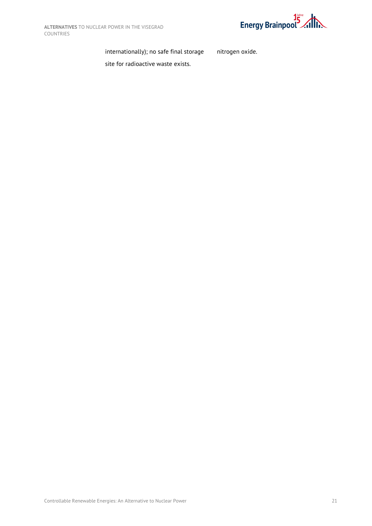

nitrogen oxide.

internationally); no safe final storage

site for radioactive waste exists.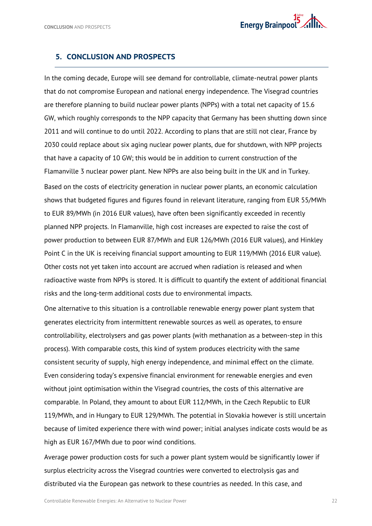## <span id="page-24-0"></span>**5. CONCLUSION AND PROSPECTS**

In the coming decade, Europe will see demand for controllable, climate-neutral power plants that do not compromise European and national energy independence. The Visegrad countries are therefore planning to build nuclear power plants (NPPs) with a total net capacity of 15.6 GW, which roughly corresponds to the NPP capacity that Germany has been shutting down since 2011 and will continue to do until 2022. According to plans that are still not clear, France by 2030 could replace about six aging nuclear power plants, due for shutdown, with NPP projects that have a capacity of 10 GW; this would be in addition to current construction of the Flamanville 3 nuclear power plant. New NPPs are also being built in the UK and in Turkey. Based on the costs of electricity generation in nuclear power plants, an economic calculation shows that budgeted figures and figures found in relevant literature, ranging from EUR 55/MWh to EUR 89/MWh (in 2016 EUR values), have often been significantly exceeded in recently planned NPP projects. In Flamanville, high cost increases are expected to raise the cost of power production to between EUR 87/MWh and EUR 126/MWh (2016 EUR values), and Hinkley Point C in the UK is receiving financial support amounting to EUR 119/MWh (2016 EUR value). Other costs not yet taken into account are accrued when radiation is released and when radioactive waste from NPPs is stored. It is difficult to quantify the extent of additional financial risks and the long-term additional costs due to environmental impacts.

One alternative to this situation is a controllable renewable energy power plant system that generates electricity from intermittent renewable sources as well as operates, to ensure controllability, electrolysers and gas power plants (with methanation as a between-step in this process). With comparable costs, this kind of system produces electricity with the same consistent security of supply, high energy independence, and minimal effect on the climate. Even considering today's expensive financial environment for renewable energies and even without joint optimisation within the Visegrad countries, the costs of this alternative are comparable. In Poland, they amount to about EUR 112/MWh, in the Czech Republic to EUR 119/MWh, and in Hungary to EUR 129/MWh. The potential in Slovakia however is still uncertain because of limited experience there with wind power; initial analyses indicate costs would be as high as EUR 167/MWh due to poor wind conditions.

Average power production costs for such a power plant system would be significantly lower if surplus electricity across the Visegrad countries were converted to electrolysis gas and distributed via the European gas network to these countries as needed. In this case, and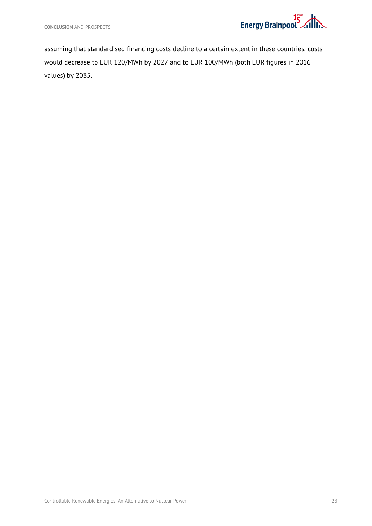

assuming that standardised financing costs decline to a certain extent in these countries, costs would decrease to EUR 120/MWh by 2027 and to EUR 100/MWh (both EUR figures in 2016 values) by 2035.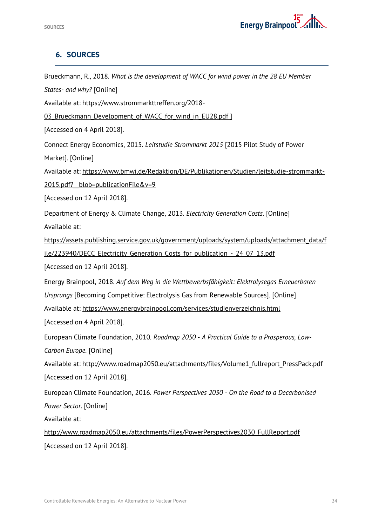

# <span id="page-26-0"></span>**6. SOURCES**

| Brueckmann, R., 2018. What is the development of WACC for wind power in the 28 EU Member     |
|----------------------------------------------------------------------------------------------|
| States- and why? [Online]                                                                    |
| Available at: https://www.strommarkttreffen.org/2018-                                        |
| 03 Brueckmann Development of WACC for wind in EU28.pdf ]                                     |
| [Accessed on 4 April 2018].                                                                  |
| Connect Energy Economics, 2015. Leitstudie Strommarkt 2015 [2015 Pilot Study of Power        |
| Market]. [Online]                                                                            |
| Available at: https://www.bmwi.de/Redaktion/DE/Publikationen/Studien/leitstudie-strommarkt-  |
| 2015.pdf? blob=publicationFile&v=9                                                           |
| [Accessed on 12 April 2018].                                                                 |
| Department of Energy & Climate Change, 2013. Electricity Generation Costs. [Online]          |
| Available at:                                                                                |
| https://assets.publishing.service.gov.uk/government/uploads/system/uploads/attachment_data/f |
| ile/223940/DECC Electricity Generation Costs for publication - 24 07 13.pdf                  |
| [Accessed on 12 April 2018].                                                                 |
| Energy Brainpool, 2018. Auf dem Weg in die Wettbewerbsfähigkeit: Elektrolysegas Erneuerbaren |
| Ursprungs [Becoming Competitive: Electrolysis Gas from Renewable Sources]. [Online]          |
| Available at: https://www.energybrainpool.com/services/studienverzeichnis.html               |
| [Accessed on 4 April 2018].                                                                  |
| European Climate Foundation, 2010. Roadmap 2050 - A Practical Guide to a Prosperous, Low-    |
| Carbon Europe. [Online]                                                                      |
| Available at: http://www.roadmap2050.eu/attachments/files/Volume1 fullreport PressPack.pdf   |
| [Accessed on 12 April 2018].                                                                 |
| European Climate Foundation, 2016. Power Perspectives 2030 - On the Road to a Decarbonised   |
| Power Sector. [Online]                                                                       |
| Available at:                                                                                |
| http://www.roadmap2050.eu/attachments/files/PowerPerspectives2030 FullReport.pdf             |
| [Accessed on 12 April 2018].                                                                 |
|                                                                                              |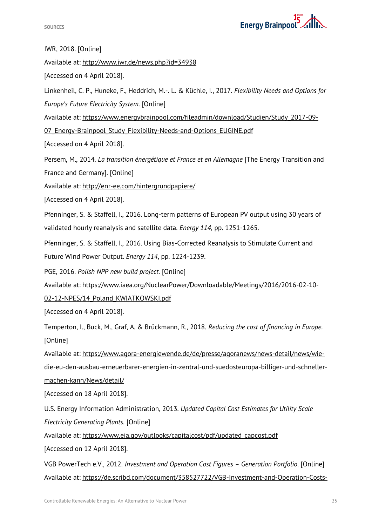

IWR, 2018. [Online]

Available at: http://www.iwr.de/news.php?id=34938

[Accessed on 4 April 2018].

Linkenheil, C. P., Huneke, F., Heddrich, M.-. L. & Küchle, I., 2017. *Flexibility Needs and Options for Europe's Future Electricity System.* [Online]

Available at: https://www.energybrainpool.com/fileadmin/download/Studien/Study\_2017-09-

07 Energy-Brainpool Study Flexibility-Needs-and-Options EUGINE.pdf

[Accessed on 4 April 2018].

Persem, M., 2014. *La transition énergétique et France et en Allemagne* [The Energy Transition and

France and Germany]. [Online]

Available at: http://enr-ee.com/hintergrundpapiere/

[Accessed on 4 April 2018].

Pfenninger, S. & Staffell, I., 2016. Long-term patterns of European PV output using 30 years of validated hourly reanalysis and satellite data. *Energy 114*, pp. 1251-1265.

Pfenninger, S. & Staffell, I., 2016. Using Bias-Corrected Reanalysis to Stimulate Current and Future Wind Power Output. *Energy 114*, pp. 1224-1239.

PGE, 2016. *Polish NPP new build project.* [Online]

Available at: https://www.iaea.org/NuclearPower/Downloadable/Meetings/2016/2016-02-10-

02-12-NPES/14\_Poland\_KWIATKOWSKI.pdf

[Accessed on 4 April 2018].

Temperton, I., Buck, M., Graf, A. & Brückmann, R., 2018. *Reducing the cost of financing in Europe.*  [Online]

Available at: https://www.agora-energiewende.de/de/presse/agoranews/news-detail/news/wiedie-eu-den-ausbau-erneuerbarer-energien-in-zentral-und-suedosteuropa-billiger-und-schnellermachen-kann/News/detail/

[Accessed on 18 April 2018].

U.S. Energy Information Administration, 2013. *Updated Capital Cost Estimates for Utility Scale Electricity Generating Plants.* [Online]

Available at: https://www.eia.gov/outlooks/capitalcost/pdf/updated\_capcost.pdf

[Accessed on 12 April 2018].

VGB PowerTech e.V., 2012. *Investment and Operation Cost Figures – Generation Portfolio.* [Online] Available at: https://de.scribd.com/document/358527722/VGB-Investment-and-Operation-Costs-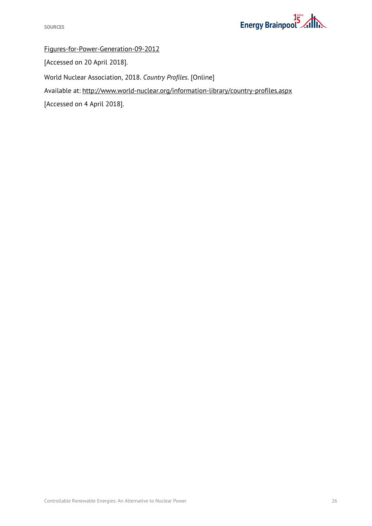

Figures-for-Power-Generation-09-2012

[Accessed on 20 April 2018].

World Nuclear Association, 2018. *Country Profiles.* [Online]

Available at: http://www.world-nuclear.org/information-library/country-profiles.aspx

[Accessed on 4 April 2018].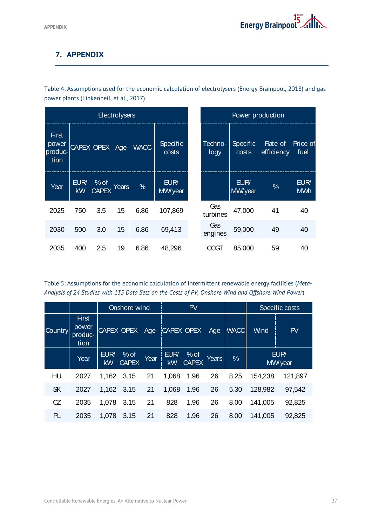# <span id="page-29-0"></span>**7. APPENDIX**

<span id="page-29-1"></span>Table 4: Assumptions used for the economic calculation of electrolysers (Energy Brainpool, 2018) and gas power plants (Linkenheil, et al., 2017)

|                                          |            |                        | <b>Electrolysers</b> |               | Power production  |                 |                          |                       |                    |
|------------------------------------------|------------|------------------------|----------------------|---------------|-------------------|-----------------|--------------------------|-----------------------|--------------------|
| <b>First</b><br>power<br>produc-<br>tion |            | CAPEX OPEX Age         |                      | <b>WACC</b>   | Specific<br>costs | Techno-<br>logy | <b>Specific</b><br>costs | Rate of<br>efficiency | Price of<br>fuel   |
| Year                                     | EUR/<br>kW | $%$ of<br><b>CAPEX</b> | Years                | $\frac{0}{0}$ | EUR/<br>MW/year   |                 | EUR/<br>MW/year          | $\frac{0}{0}$         | EUR/<br><b>MWh</b> |
| 2025                                     | 750        | 3.5                    | 15                   | 6.86          | 107,869           | Gas<br>turbines | 47,000                   | 41                    | 40                 |
| 2030                                     | 500        | 3.0                    | 15                   | 6.86          | 69,413            | Gas<br>engines  | 59,000                   | 49                    | 40                 |
| 2035                                     | 400        | 2.5                    | 19                   | 6.86          | 48,296            | انللا           | 85,000                   | 59                    | 40                 |

<span id="page-29-2"></span>Table 5: Assumptions for the economic calculation of intermittent renewable energy facilities (*Meta-Analysis of 24 Studies with 135 Data Sets on the Costs of PV, Onshore Wind and Offshore Wind Power*)

<span id="page-29-3"></span>

|                |                                          | Onshore wind      |                                    |      | PV    |                       |       |      |                 | Specific costs |
|----------------|------------------------------------------|-------------------|------------------------------------|------|-------|-----------------------|-------|------|-----------------|----------------|
| <b>Country</b> | <b>First</b><br>power<br>produc-<br>tion |                   | CAPEX OPEX Age CAPEX OPEX Age WACC |      |       |                       |       |      | Wind            | PV             |
|                | Year                                     | EUR/<br><b>kW</b> | $%$ of<br><b>CAPEX</b>             | Year | EUR/  | EUR/ % of<br>kW CAPEX | Years | $\%$ | EUR/<br>MW/year |                |
| HU             | 2027                                     | 1,162 3.15        |                                    | 21   | 1,068 | 1.96                  | 26    | 8.25 | 154,238         | 121,897        |
| <b>SK</b>      | 2027                                     | 1,162 3.15        |                                    | 21   | 1,068 | 1.96                  | 26    | 5.30 | 128,982         | 97,542         |
| CZ             | 2035                                     | 1,078             | 3.15                               | 21   | 828   | 1.96                  | 26    | 8.00 | 141,005         | 92,825         |
| PL             | 2035                                     | 1,078             | 3.15                               | 21   | 828   | 1.96                  | 26    | 8.00 | 141,005         | 92,825         |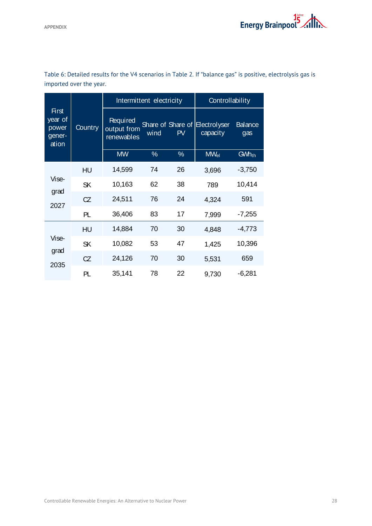|                                                     | Country   |                                       | Intermittent electricity | Controllability         |                                 |                         |
|-----------------------------------------------------|-----------|---------------------------------------|--------------------------|-------------------------|---------------------------------|-------------------------|
| <b>First</b><br>year of<br>power<br>gener-<br>ation |           | Required<br>output from<br>renewables | wind                     | Share of Share of<br>PV | <b>Electrolyser</b><br>capacity | <b>Balance</b><br>gas   |
|                                                     |           | <b>MW</b>                             | $\%$                     | $\%$                    | <b>MW<sub>el</sub></b>          | <b>GWh<sub>th</sub></b> |
|                                                     | HU        | 14,599                                | 74                       | 26                      | 3,696                           | $-3,750$                |
| Vise-<br>grad                                       | <b>SK</b> | 10,163                                | 62                       | 38                      | 789                             | 10,414                  |
| 2027                                                | CZ        | 24,511                                | 76                       | 24                      | 4,324                           | 591                     |
|                                                     | PL        | 36,406                                | 83                       | 17                      | 7,999                           | $-7,255$                |
|                                                     | HU        | 14,884                                | 70                       | 30                      | 4,848                           | $-4,773$                |
| Vise-                                               | <b>SK</b> | 10,082                                | 53                       | 47                      | 1,425                           | 10,396                  |
| grad<br>2035                                        | CZ        | 24,126                                | 70                       | 30                      | 5,531                           | 659                     |
|                                                     | PL        | 35,141                                | 78                       | 22                      | 9,730                           | $-6,281$                |

<span id="page-30-0"></span>Table 6: Detailed results for the V4 scenarios in [Table](#page-16-0) 2. If "balance gas" is positive, electrolysis gas is imported over the year.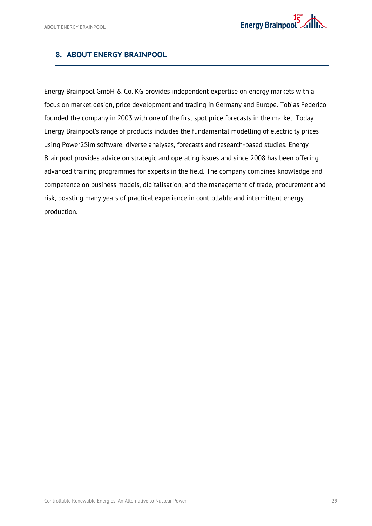## <span id="page-31-0"></span>**8. ABOUT ENERGY BRAINPOOL**

Energy Brainpool GmbH & Co. KG provides independent expertise on energy markets with a focus on market design, price development and trading in Germany and Europe. Tobias Federico founded the company in 2003 with one of the first spot price forecasts in the market. Today Energy Brainpool's range of products includes the fundamental modelling of electricity prices using Power2Sim software, diverse analyses, forecasts and research-based studies. Energy Brainpool provides advice on strategic and operating issues and since 2008 has been offering advanced training programmes for experts in the field. The company combines knowledge and competence on business models, digitalisation, and the management of trade, procurement and risk, boasting many years of practical experience in controllable and intermittent energy production.